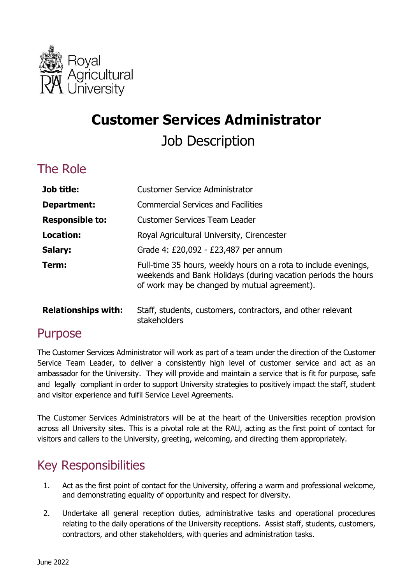

# **Customer Services Administrator**  Job Description

#### The Role

| Job title:             | <b>Customer Service Administrator</b>                                                                                                                                            |  |  |
|------------------------|----------------------------------------------------------------------------------------------------------------------------------------------------------------------------------|--|--|
| Department:            | <b>Commercial Services and Facilities</b>                                                                                                                                        |  |  |
| <b>Responsible to:</b> | <b>Customer Services Team Leader</b>                                                                                                                                             |  |  |
| Location:              | Royal Agricultural University, Cirencester                                                                                                                                       |  |  |
| Salary:                | Grade 4: £20,092 - £23,487 per annum                                                                                                                                             |  |  |
| Term:                  | Full-time 35 hours, weekly hours on a rota to include evenings,<br>weekends and Bank Holidays (during vacation periods the hours<br>of work may be changed by mutual agreement). |  |  |
|                        |                                                                                                                                                                                  |  |  |

**Relationships with:** Staff, students, customers, contractors, and other relevant stakeholders

#### Purpose

 The Customer Services Administrator will work as part of a team under the direction of the Customer Service Team Leader, to deliver a consistently high level of customer service and act as an ambassador for the University. They will provide and maintain a service that is fit for purpose, safe and legally compliant in order to support University strategies to positively impact the staff, student and visitor experience and fulfil Service Level Agreements.

 The Customer Services Administrators will be at the heart of the Universities reception provision across all University sites. This is a pivotal role at the RAU, acting as the first point of contact for visitors and callers to the University, greeting, welcoming, and directing them appropriately.

#### Key Responsibilities

- 1. Act as the first point of contact for the University, offering a warm and professional welcome, and demonstrating equality of opportunity and respect for diversity.
- relating to the daily operations of the University receptions. Assist staff, students, customers, 2. Undertake all general reception duties, administrative tasks and operational procedures contractors, and other stakeholders, with queries and administration tasks.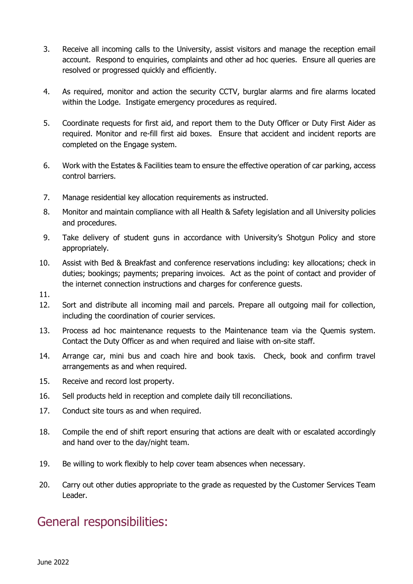- 3. Receive all incoming calls to the University, assist visitors and manage the reception email account. Respond to enquiries, complaints and other ad hoc queries. Ensure all queries are resolved or progressed quickly and efficiently.
- 4. As required, monitor and action the security CCTV, burglar alarms and fire alarms located within the Lodge. Instigate emergency procedures as required.
- 5. Coordinate requests for first aid, and report them to the Duty Officer or Duty First Aider as required. Monitor and re-fill first aid boxes. Ensure that accident and incident reports are completed on the Engage system.
- 6. Work with the Estates & Facilities team to ensure the effective operation of car parking, access control barriers.
- 7. Manage residential key allocation requirements as instructed.
- 8. Monitor and maintain compliance with all Health & Safety legislation and all University policies and procedures.
- 9. Take delivery of student guns in accordance with University's Shotgun Policy and store appropriately.
- duties; bookings; payments; preparing invoices. Act as the point of contact and provider of 10. Assist with Bed & Breakfast and conference reservations including: key allocations; check in the internet connection instructions and charges for conference guests.
- 11.
- 12. Sort and distribute all incoming mail and parcels. Prepare all outgoing mail for collection, including the coordination of courier services.
- 13. Process ad hoc maintenance requests to the Maintenance team via the Quemis system. Contact the Duty Officer as and when required and liaise with on-site staff.
- 14. Arrange car, mini bus and coach hire and book taxis. Check, book and confirm travel arrangements as and when required.
- 15. Receive and record lost property.
- 16. Sell products held in reception and complete daily till reconciliations.
- 17. Conduct site tours as and when required.
- 18. Compile the end of shift report ensuring that actions are dealt with or escalated accordingly and hand over to the day/night team.
- 19. Be willing to work flexibly to help cover team absences when necessary.
- 20. Carry out other duties appropriate to the grade as requested by the Customer Services Team Leader.

#### General responsibilities: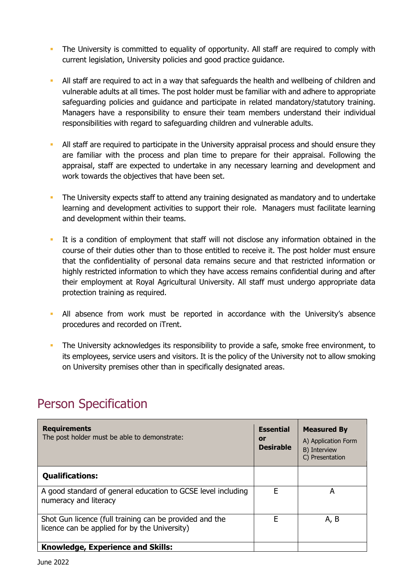- **The University is committed to equality of opportunity. All staff are required to comply with** current legislation, University policies and good practice guidance.
- All staff are required to act in a way that safeguards the health and wellbeing of children and vulnerable adults at all times. The post holder must be familiar with and adhere to appropriate safeguarding policies and guidance and participate in related mandatory/statutory training. Managers have a responsibility to ensure their team members understand their individual responsibilities with regard to safeguarding children and vulnerable adults.
- All staff are required to participate in the University appraisal process and should ensure they are familiar with the process and plan time to prepare for their appraisal. Following the appraisal, staff are expected to undertake in any necessary learning and development and work towards the objectives that have been set.
- The University expects staff to attend any training designated as mandatory and to undertake learning and development activities to support their role. Managers must facilitate learning and development within their teams.
- It is a condition of employment that staff will not disclose any information obtained in the course of their duties other than to those entitled to receive it. The post holder must ensure highly restricted information to which they have access remains confidential during and after their employment at Royal Agricultural University. All staff must undergo appropriate data that the confidentiality of personal data remains secure and that restricted information or protection training as required.
- All absence from work must be reported in accordance with the University's absence procedures and recorded on iTrent.
- The University acknowledges its responsibility to provide a safe, smoke free environment, to its employees, service users and visitors. It is the policy of the University not to allow smoking on University premises other than in specifically designated areas.

| <b>Requirements</b><br>The post holder must be able to demonstrate:                                      | <b>Essential</b><br>or<br><b>Desirable</b> | <b>Measured By</b><br>A) Application Form<br>B) Interview<br>C) Presentation |
|----------------------------------------------------------------------------------------------------------|--------------------------------------------|------------------------------------------------------------------------------|
| <b>Qualifications:</b>                                                                                   |                                            |                                                                              |
| A good standard of general education to GCSE level including<br>numeracy and literacy                    | Е                                          | А                                                                            |
| Shot Gun licence (full training can be provided and the<br>licence can be applied for by the University) | F                                          | A, B                                                                         |
| <b>Knowledge, Experience and Skills:</b>                                                                 |                                            |                                                                              |

### Person Specification